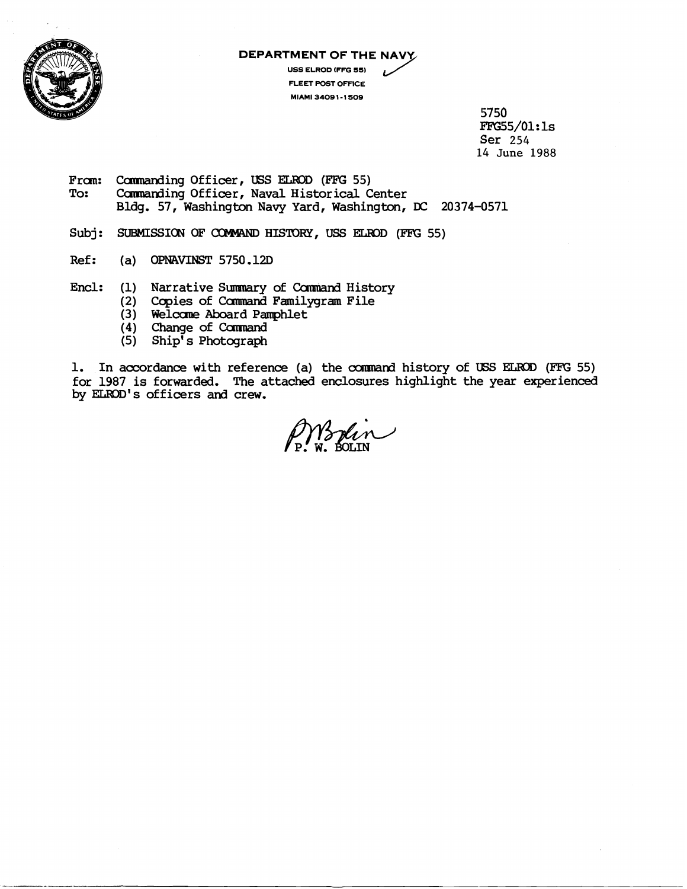

## **DEPARTMENT OF THE NAV**

**USS ELROD (FFG 55) FLEET POST OFFICE MIAMI 3409 1-1 50s** 

> 5750 FFG55/Ol: **1s**  Ser 254 14 **June** 1988

- From: Commanding Officer, USS ELROD (FFG 55)<br>To: Commanding Officer, Naval Historical C Commanding Officer, Naval Historical Center Bldg. 57, Washington Navy Yard, Washington, DC 20374-0571
- Subj: SUBMISSION OF COMMAND HISTORY, USS ELROD (FFG 55)
- Ref: (a) OPNAVINST 5750.12D
- Encl: (1) Narrative Summary of Command History
	- (2) Copies of Command Familygram File
	- (3) Welcarne Aboard Parmphlet
	- (4) Change of **Conmand**
	- (5) Ship' s Photograph

1. In accordance with reference (a) the command history of USS ELROD (FFG 55) for 1987 is forwarded. The attached enclosures highlight the year experienced by ELROD's officers and crew.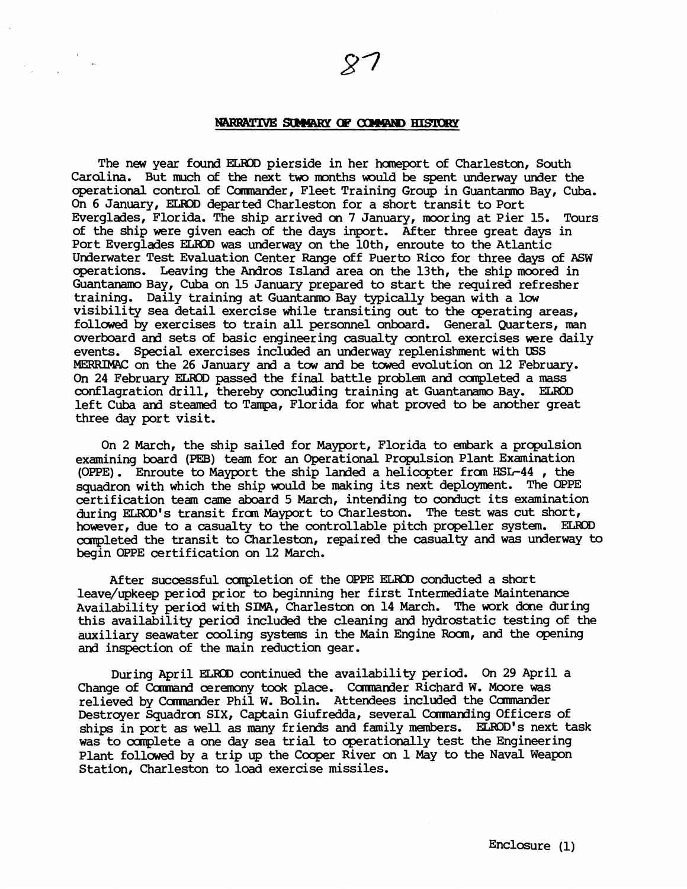## NARRATIVE SUMMARY OF COMMAND HISTORY

The new year found ELROD pierside in her homeport of Charleston, South Carolina. But much of the next two months would be spent underway under the operational control of Commander, Fleet Training Group in Guantarmo Bay, Cuba. On 6 January, EUOD departed Charleston for a short transit to Port Everglades, Florida. The ship arrived on 7 January, mooring at Pier 15. Tours of the ship were given each of the days inport. After three great days in Port Everglades ELROD was underway on the 10th, enroute to the Atlantic Underwater Test Evaluation Center Range off Puerto Rico for three days of ASW operations. Leaving the Andros Island area on the 13th, the ship moored in GuantanamoBay, Cuba on 15 January prepared to start the required refresher training. Daily training at Guantarnno Bay typically began with a low visibility sea detail exercise while transiting out to the operating areas, followed by exercises to train all personnel onboard. General Quarters, man overboard and sets of basic engineering casualty control exercises were daily events. Special exercises included an underway replenishment with **USS**  MERRIMAC on the 26 January and a tow and be towed evolution on 12 February. On 24 February **ELWX)** passed the final battle problem and canpleted a mass conflagration drill, thereby concluding training at Guantanamo Bay. ELROD left Cuba and steamed to Tampa, Florida for what proved to be another great three day port visit.

On 2 March, the ship sailed for Mayport, Florida to embark a propulsion examining board (PEB) team for an Operational Propulsion Plant Examination (OPPE). Enroute to Mayport the ship landed a helicopter from HSL-44, the squadron with which the ship would be making its next deployment. The **OPPE**  certification team came aboard 5 March, intending to conduct its examination during ELROD'S transit fran Mayport to Charleston. The test was cut short, however, due to a casualty to the controllable pitch propeller system. ELROD canpleted the transit to Charleston, repaired the casualty and was underway to begin OPPE certification on 12 March.

After successful campletion of the **OPPE** ELEUB conducted a short leave/upkeep period prior to beginning her first Intermediate Maintenance Availability period with SIMA, Charleston on 14 March. The work done during this availability period included the cleaning and hydrostatic testing of the auxiliary seawater cooling systems in the Main Engine Room, and the opening and inspection of the main reduction gear.

During April **ELROD** continued the availability period. On 29 April a Change of Command ceremony took place. Commander Richard W. Moore was relieved by Camander Phil W. Bolin. Attendees included the Canmander Destroyer Squadron SIX, Captain Giufredda, several Commanding Officers of ships in port as well as many friends and family mernbers. ELROD'S next task was to complete a one day sea trial to operationally test the Engineering Plant followed by a trip up the Cooper River on 1 May to the Naval Weapon Station, Charleston to load exercise missiles.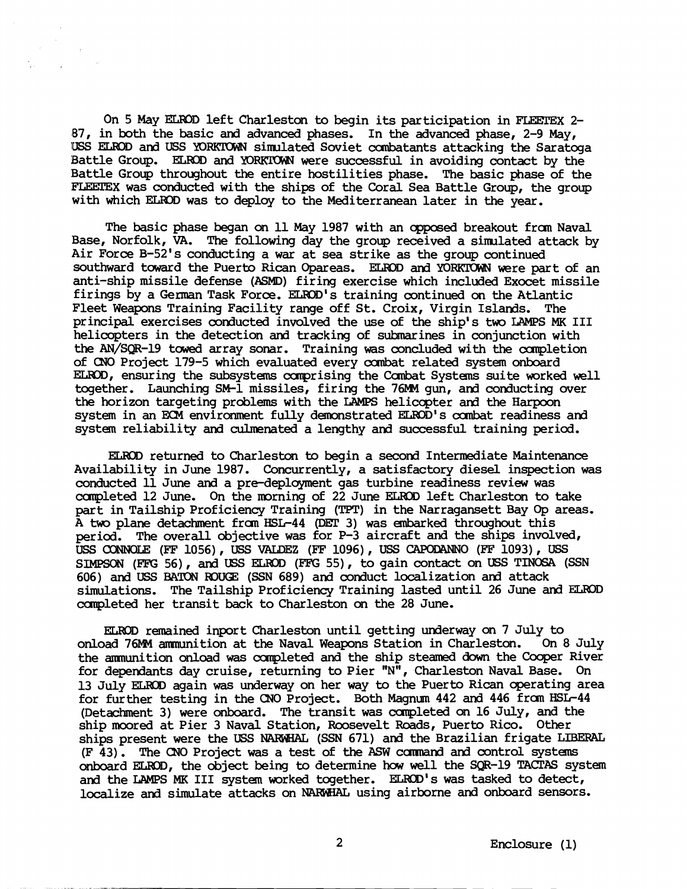On **5** May **EUdDD** left Charleston to begin its participation in **F'UEXEX** 2- 87, in both the basic and advanced phases. In the advanced phase, 2-9 May, USS ELROD and USS YORKTOWN simulated Soviet combatants attacking the Saratoga Battle Group. ELROD and YORKTOWN were successful in avoiding contact by the Battle Group throughout the entire hostilities phase. The basic phase of the **<sup>E</sup>'LEEZEX** was conducted with the ships of the Coral Sea Battle Group, the group with which ELROD was to deploy to the Mediterranean later in the year.

The basic phase began on 11 May 1987 with an opposed breakout from Naval Base, Norfolk, **VA.** The following day the group received a sinulated attack by Air Force B-52's conducting a war at sea strike as the group continued southward toward the Puerto Rican Opareas. ELROD and YORKTOWN were part of an anti-ship missile defense **(ASMD)** firing exercise which included Exocet missile firings by a German Task Force. ELROD's training continued on the Atlantic Fleet Weapons Training Facility range off St. Croix, Virgin Islands. The principal exercises conducted involved the use of the ship's two LAMPS **MK** I11 helicopters in the detection and tracking of subnarines in conjunction with the AN/SQR-19 towed array sonar. Training was concluded with the completion of CNO Project 179-5 which evaluated every oanbat related system onboard ELROD, ensuring the subsystems comprising the Combat Systems suite worked well together. Launching SM-1 missiles, firing the 76IW gun, and conducting over the horizon targeting problems with the LAMPS helicopter and the Harpoon system in an ECM environment fully demonstrated ELROD's combat readiness and system reliability and culmenated a lengthy and successful training period.

ELKXI returned to Charleston to begin a second Intermediate Maintenance Availability in June 1987. Concurrently, a satisfactory diesel inspection was conducted 11 June and a pre-deployment gas turbine readiness review was completed 12 June. On the morning of 22 June ELROD left Charleston to take part in Tailship Proficiency Training **(TPT)** in the Narragansett Bay **Op** areas. A two plane detachment £ran HSL-44 @GT 3) was embarked throughout this period. The overall objective was for  $P-3$  aircraft and the ships involved, **VSS** (XXNC&E (EF 1056), USS VALDEZ (EF 1096), **USS** -0 **(FF** 1093), USS SIMPSON (FFG 56), and USS ELROD (FFG 55), to gain contact on USS TINOSA (SSN 606) and USS BATON ROUGE (SSN 689) and conduct localization and attack simulations. The Tailship Proficiency Training lasted until 26 June and ELKID capleted her transit back to Charleston on the 28 June.

ELROD remained inport Charleston until getting underway on 7 July to<br>bad 76MM ammunition at the Naval Weapons Station in Charleston. On 8 July onload 76MM ammunition at the Naval Weapons Station in Charleston. the ammunition onload was completed and the ship steamed down the Cooper River for dependants day cruise, returning to Pier "N", Charleston Naval Base. On 13 July **ELRID** again was underway on her way to the Puerto Rican operating area for further testing in the CNO Project. Both Magnun 442 and 446 £ran HSL-44 (Detachment 3) were onboard. The transit was ccrnpleted on 16 July, and the ship moored at Pier 3 Naval Station, Roosevelt Roads, Puerto Rico. Other ships present were the USS NAf&JHAL (SSN 671) and the Brazilian frigate **LIBERAL**  (F 43). The CNO Project was a test of the **ASW** ccmnand ad control systems onboard ELROD, the object being to determine how well the SQR-19 TACTAS system and the LAMPS MK III system worked together. ELROD's was tasked to detect, localize and simulate attacks on NARWHAL using airborne and onboard sensors.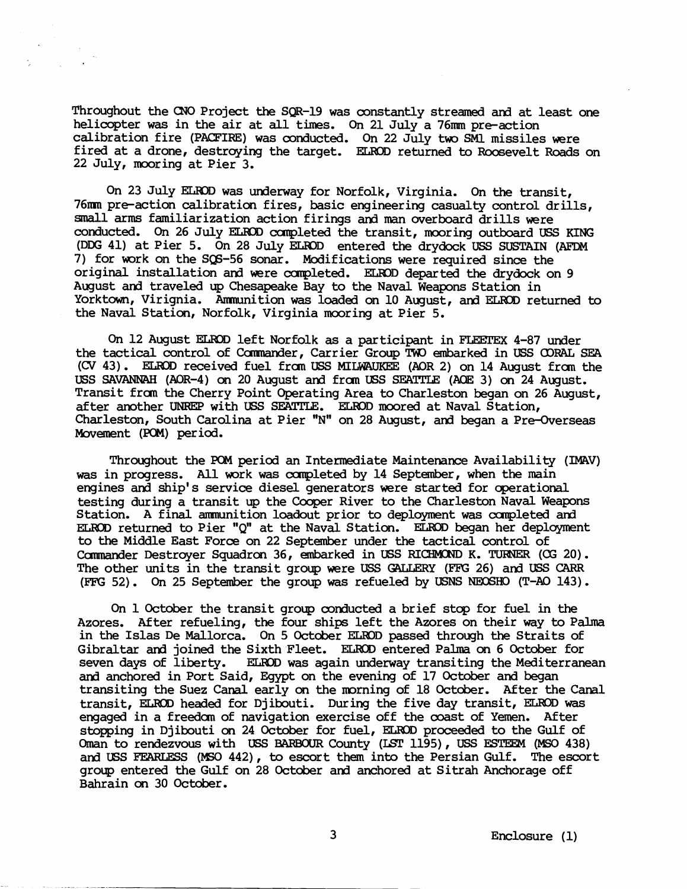Throughout the CNO Project the SQR-19 was constantly streamd **ard** at least one helicopter **was** in the air at all times. **On** 21 July a 76m pre-action calibration fire (PACFIRE) was conducted. On 22 July two SM1 missiles were fired at a drone, destroying the target. ELROD returned to Roosevelt Roads on 22 July, mooring at Pier 3.

On 23 July **ELIlDD** was underway for Norfolk, Virginia. On the transit, 76mn pre-action calibration fires, basic engineering casualty control drills, small arms familiarization action firings and man overboard drills were conducted. On 26 July ELR33 canpleted the transit, mooring outboard **USS** KING (DDG 41) at Pier 5. On 28 July EL&OD entered the drydock **USS** SUSTAIN **(AFDM**  7) for work on the SQ6-56 sonar. Modifications were required since the original installation **and** were ccmpleted. ELKID departed the drydock on 9 August and traveled up Chesapeake Bay to the Naval Weapons Station in Yorktown, Virignia. Ammunition was loaded on 10 August, and ELROD returned to the Naval Station, Norfolk, Virginia mooring at Pier 5.

On 12 August ELROD left Norfolk as a participant in FLEETEX 4-87 under the tactical control of Commander, Carrier Group TWO embarked in USS OORAL SEA **(CV** 43). ELKID received fuel fran **USS** MIL- (AOR 2) on 14 August from the USS SAVANNAH (AOR-4) on 20 August and from USS SEATTLE (AOE 3) on 24 August. Transit from the Cherry Point Operating Area to Charleston began on 26 August, after another **UM(EP** with USS **SEAITLE.** ELHID moored at Naval Station, Charleston, South Carolina at Pier "N" on 28 August, and began a Pre-Overseas Movement (POM) period.

Throughout the **PQM** period an Intermediate Maintenance Availability (IWV) was in progress. All work was completed by 14 September, when the main engines and ship's service diesel generators were started for operational testing during a transit up the Cooper River to the Charleston Naval Weapons Station. A final ammunition loadout prior to deployment was completed and ELROD returned to Pier "Q" at the Naval Station. ELROD began her deployment to the Middle East Force on 22 September under the tactical control of Canmander Destroyer Squadron 36, embarked in USS **RICHMOND** K. TWNER **(CG** 20). The other units in the transit group were USS G?UERY **(FFG** 26) and **USS CARR (FFG** 52). On 25 September the group was refueled by USNS NEOSHO (T-A0 143).

**On** 1October the transit group conducted a brief stop for fuel in the Azores. After refueling, the four ships left the Azores on their way to Palma in the Islas De Mallorca. On 5 October ELROD passed through the Straits of Gibraltar ad joined the Sixth Fleet. ELW3D entered Palma **on** 6 October for seven days of liberty. ELROD was again underway transiting the Mediterranean and anchored in Port Said, Egypt on the evening of 17 October and began transiting the Suez Canal early **on** the morning of 18 October. After the Canal transit, ELROD headed for Djibouti. During the five day transit, ELROD was engaged in a freedom of navigation exercise off the coast of Yemen. After stopping in Djibouti on 24 October for fuel, ELROD proceeded to the Gulf of Oman to rendezvous with USS BARBOUR County (LST 1195), USS ESTEEM (MSO 438) Oman to rendezvous with USS BARBOUR County (LST 1195), USS ESTEEM (MSO 438) and USS FEARLESS (MSO 442), to escort them into the Persian Gulf. The escort group entered the Gulf on 28 October and anchored at Sitrah Anchorage off Bahrain **on** 30 October.

3